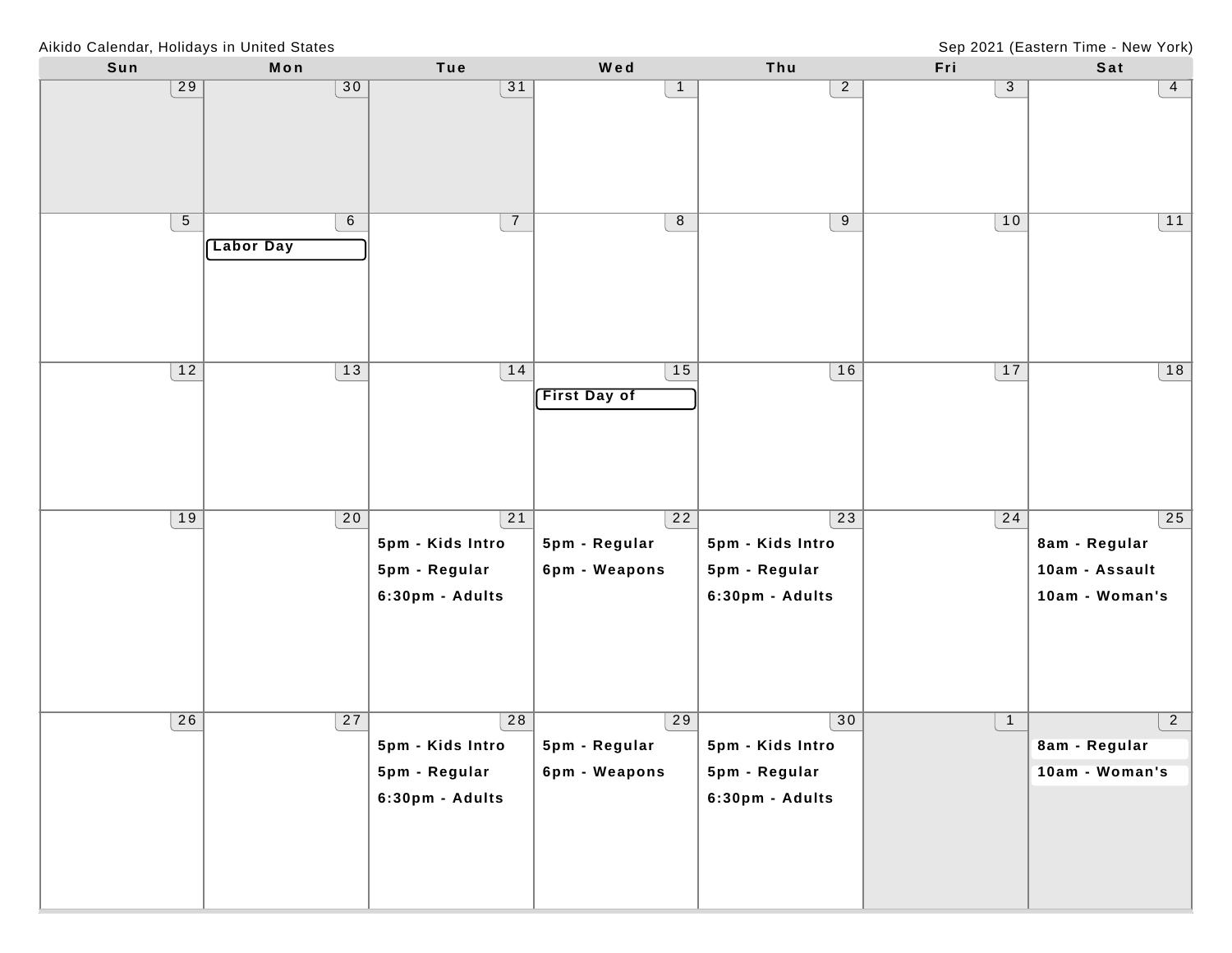Aikido Calendar, Holidays in United States

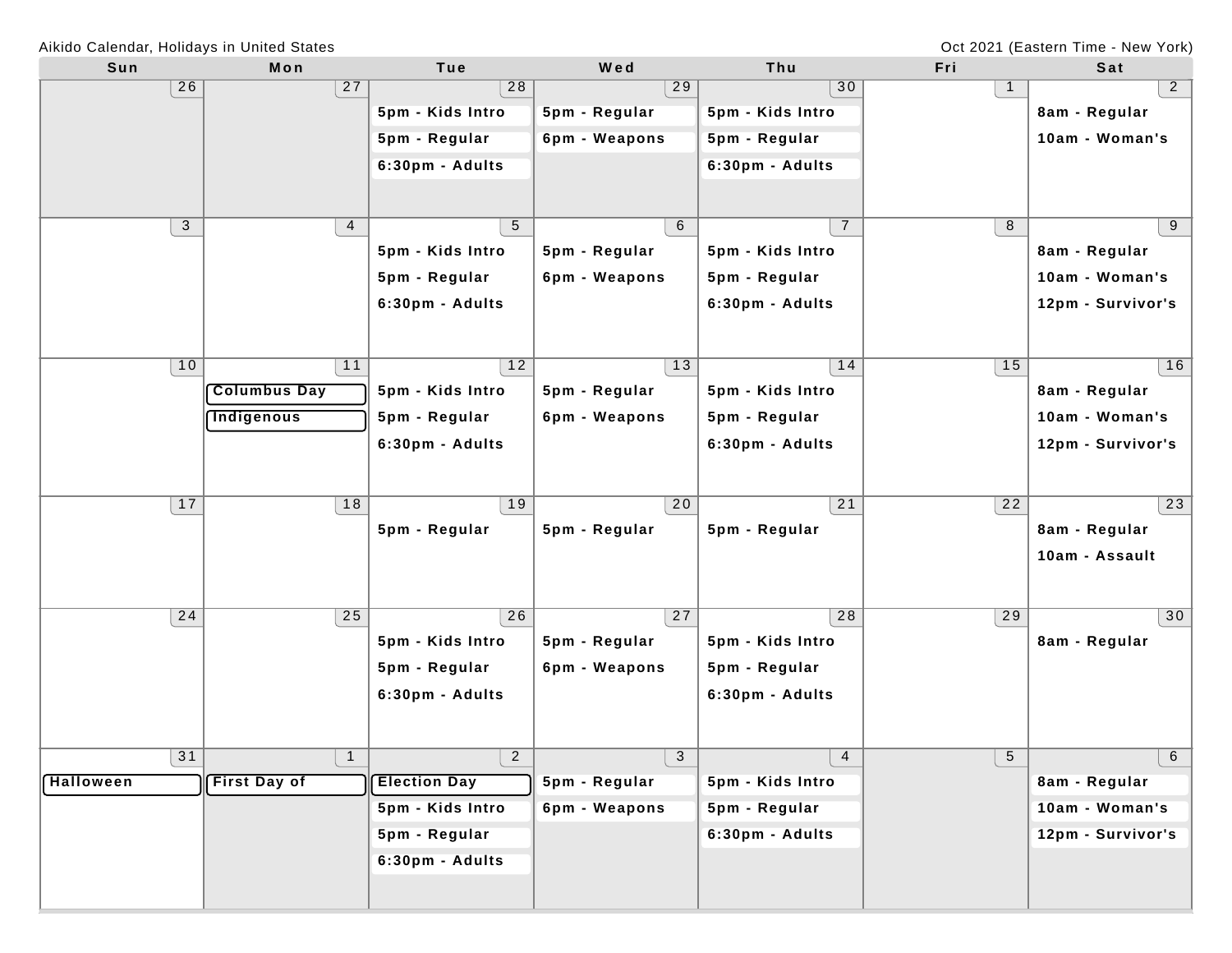Oct 2021 (Eastern Time - New York)

| Sun              | Mon                 | Tue                 | Wed           | Thu              | Fri             | Sat               |
|------------------|---------------------|---------------------|---------------|------------------|-----------------|-------------------|
| 26               | 27                  | 28                  | 29            | 30               | 1               | $\overline{2}$    |
|                  |                     | 5pm - Kids Intro    | 5pm - Regular | 5pm - Kids Intro |                 | 8am - Regular     |
|                  |                     | 5pm - Regular       | 6pm - Weapons | 5pm - Regular    |                 | 10am - Woman's    |
|                  |                     | 6:30pm - Adults     |               | 6:30pm - Adults  |                 |                   |
|                  |                     |                     |               |                  |                 |                   |
| 3                | $\overline{4}$      | 5                   | 6             | $\overline{7}$   | 8               | 9                 |
|                  |                     | 5pm - Kids Intro    | 5pm - Regular | 5pm - Kids Intro |                 | 8am - Regular     |
|                  |                     | 5pm - Regular       | 6pm - Weapons | 5pm - Regular    |                 | 10am - Woman's    |
|                  |                     | 6:30pm - Adults     |               | 6:30pm - Adults  |                 | 12pm - Survivor's |
|                  |                     |                     |               |                  |                 |                   |
| 10               | 11                  | 12                  | 13            | 14               | 15              | 16                |
|                  | <b>Columbus Day</b> | 5pm - Kids Intro    | 5pm - Regular | 5pm - Kids Intro |                 | 8am - Regular     |
|                  | <b>Indigenous</b>   | 5pm - Regular       | 6pm - Weapons | 5pm - Regular    |                 | 10am - Woman's    |
|                  |                     | 6:30pm - Adults     |               | 6:30pm - Adults  |                 | 12pm - Survivor's |
|                  |                     |                     |               |                  |                 |                   |
| 17               | 18                  | 19                  | 20            | 21               | 22              | 23                |
|                  |                     | 5pm - Regular       | 5pm - Regular | 5pm - Regular    |                 | 8am - Regular     |
|                  |                     |                     |               |                  |                 | 10am - Assault    |
|                  |                     |                     |               |                  |                 |                   |
| 24               | 25                  | 26                  | 27            | 28               | 29              | 30                |
|                  |                     | 5pm - Kids Intro    | 5pm - Regular | 5pm - Kids Intro |                 | 8am - Regular     |
|                  |                     | 5pm - Regular       | 6pm - Weapons | 5pm - Regular    |                 |                   |
|                  |                     | 6:30pm - Adults     |               | 6:30pm - Adults  |                 |                   |
|                  |                     |                     |               |                  |                 |                   |
| 31               | $\overline{1}$      | $\overline{2}$      | 3             | $\overline{4}$   | $5\phantom{.0}$ | 6                 |
| <b>Halloween</b> | <b>First Day of</b> | <b>Election Day</b> | 5pm - Regular | 5pm - Kids Intro |                 | 8am - Regular     |
|                  |                     | 5pm - Kids Intro    | 6pm - Weapons | 5pm - Regular    |                 | 10am - Woman's    |
|                  |                     | 5pm - Regular       |               | 6:30pm - Adults  |                 | 12pm - Survivor's |
|                  |                     |                     |               |                  |                 |                   |
|                  |                     | 6:30pm - Adults     |               |                  |                 |                   |
|                  |                     |                     |               |                  |                 |                   |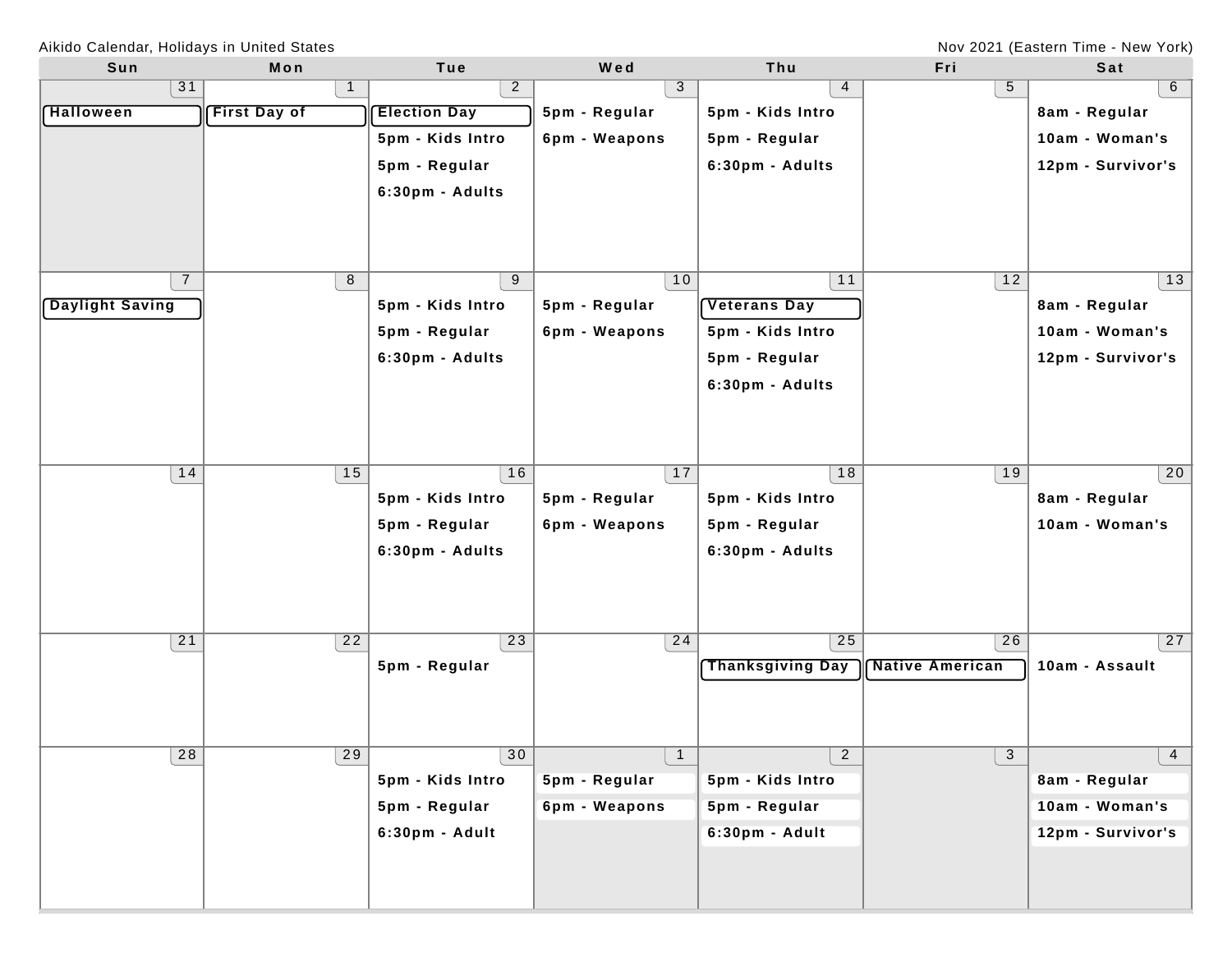Nov 2021 (Eastern Time - New York)

| Sun                    | Mon                 | Tue                 | Wed            | Thu                     | Fri                    | Sat               |
|------------------------|---------------------|---------------------|----------------|-------------------------|------------------------|-------------------|
| 31                     | $\mathbf{1}$        | $\overline{2}$      | 3              | 4                       | 5                      | $6\overline{6}$   |
| <b>Halloween</b>       | <b>First Day of</b> | <b>Election Day</b> | 5pm - Regular  | 5pm - Kids Intro        |                        | 8am - Regular     |
|                        |                     | 5pm - Kids Intro    | 6pm - Weapons  | 5pm - Regular           |                        | 10am - Woman's    |
|                        |                     | 5pm - Regular       |                | 6:30pm - Adults         |                        | 12pm - Survivor's |
|                        |                     | 6:30pm - Adults     |                |                         |                        |                   |
|                        |                     |                     |                |                         |                        |                   |
|                        |                     |                     |                |                         |                        |                   |
|                        |                     |                     |                |                         |                        |                   |
| $\overline{7}$         | 8                   | 9                   | 10             | 11                      | 12                     | 13                |
| <b>Daylight Saving</b> |                     | 5pm - Kids Intro    | 5pm - Regular  | <b>Veterans Day</b>     |                        | 8am - Regular     |
|                        |                     | 5pm - Regular       | 6pm - Weapons  | 5pm - Kids Intro        |                        | 10am - Woman's    |
|                        |                     | 6:30pm - Adults     |                | 5pm - Regular           |                        | 12pm - Survivor's |
|                        |                     |                     |                | 6:30pm - Adults         |                        |                   |
|                        |                     |                     |                |                         |                        |                   |
|                        |                     |                     |                |                         |                        |                   |
|                        |                     |                     |                |                         |                        |                   |
| 14                     | 15                  | 16                  | 17             | 18                      | 19                     | 20                |
|                        |                     | 5pm - Kids Intro    | 5pm - Regular  | 5pm - Kids Intro        |                        | 8am - Regular     |
|                        |                     | 5pm - Regular       | 6pm - Weapons  | 5pm - Regular           |                        | 10am - Woman's    |
|                        |                     | 6:30pm - Adults     |                | 6:30pm - Adults         |                        |                   |
|                        |                     |                     |                |                         |                        |                   |
|                        |                     |                     |                |                         |                        |                   |
| 21                     | 22                  | 23                  | 24             | 25                      | 26                     | 27                |
|                        |                     | 5pm - Regular       |                | <b>Thanksgiving Day</b> | <b>Native American</b> | 10am - Assault    |
|                        |                     |                     |                |                         |                        |                   |
|                        |                     |                     |                |                         |                        |                   |
|                        |                     |                     |                |                         |                        |                   |
| 28                     | 29                  | 30                  | $\overline{1}$ | $\overline{2}$          | 3 <sup>1</sup>         | $\overline{4}$    |
|                        |                     | 5pm - Kids Intro    | 5pm - Regular  | 5pm - Kids Intro        |                        | 8am - Regular     |
|                        |                     | 5pm - Regular       | 6pm - Weapons  | 5pm - Regular           |                        | 10am - Woman's    |
|                        |                     | 6:30pm - Adult      |                | 6:30pm - Adult          |                        | 12pm - Survivor's |
|                        |                     |                     |                |                         |                        |                   |
|                        |                     |                     |                |                         |                        |                   |
|                        |                     |                     |                |                         |                        |                   |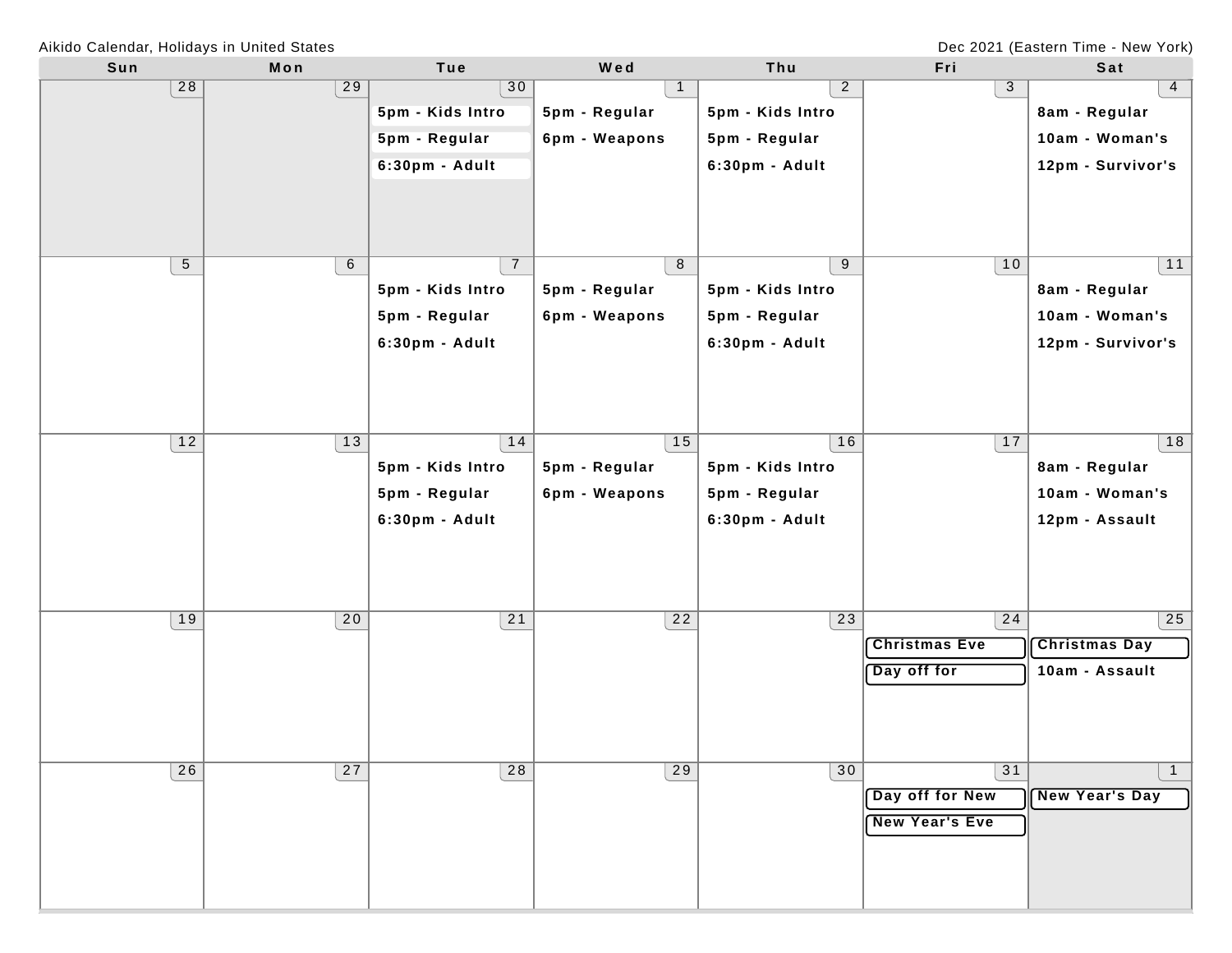Dec 2021 (Eastern Time - New York)

Aikido Calendar, Holidays in United States

| Sun            | Mon             | Tue              | Wed             | Thu              | Fri                   | Sat                   |
|----------------|-----------------|------------------|-----------------|------------------|-----------------------|-----------------------|
| 28             | 29              | 30               |                 | $\overline{a}$   | 3                     | $\overline{4}$        |
|                |                 | 5pm - Kids Intro | 5pm - Regular   | 5pm - Kids Intro |                       | 8am - Regular         |
|                |                 | 5pm - Regular    | 6pm - Weapons   | 5pm - Regular    |                       | 10am - Woman's        |
|                |                 | 6:30pm - Adult   |                 | 6:30pm - Adult   |                       | 12pm - Survivor's     |
|                |                 |                  |                 |                  |                       |                       |
|                |                 |                  |                 |                  |                       |                       |
|                |                 |                  |                 |                  |                       |                       |
| $\overline{5}$ | $6\overline{6}$ | $\overline{7}$   | 8               | 9                | 10                    | 11                    |
|                |                 | 5pm - Kids Intro | 5pm - Regular   | 5pm - Kids Intro |                       | 8am - Regular         |
|                |                 |                  |                 |                  |                       |                       |
|                |                 | 5pm - Regular    | 6pm - Weapons   | 5pm - Regular    |                       | 10am - Woman's        |
|                |                 | 6:30pm - Adult   |                 | 6:30pm - Adult   |                       | 12pm - Survivor's     |
|                |                 |                  |                 |                  |                       |                       |
|                |                 |                  |                 |                  |                       |                       |
|                |                 |                  |                 |                  |                       |                       |
| 12             | 13              | 14               | 15              | 16               | 17                    | 18                    |
|                |                 | 5pm - Kids Intro | 5pm - Regular   | 5pm - Kids Intro |                       | 8am - Regular         |
|                |                 | 5pm - Regular    | 6pm - Weapons   | 5pm - Regular    |                       | 10am - Woman's        |
|                |                 | 6:30pm - Adult   |                 | 6:30pm - Adult   |                       | 12pm - Assault        |
|                |                 |                  |                 |                  |                       |                       |
|                |                 |                  |                 |                  |                       |                       |
|                |                 |                  |                 |                  |                       |                       |
| 19             | 20              | 21               | $\overline{22}$ | 23               | 24                    | 25                    |
|                |                 |                  |                 |                  | <b>Christmas Eve</b>  | <b>Christmas Day</b>  |
|                |                 |                  |                 |                  |                       |                       |
|                |                 |                  |                 |                  | Day off for           | 10am - Assault        |
|                |                 |                  |                 |                  |                       |                       |
|                |                 |                  |                 |                  |                       |                       |
|                |                 |                  |                 |                  |                       |                       |
| 26             | $\overline{27}$ | $\overline{28}$  | $\overline{29}$ | 30               | 31                    | $\mathbf{1}$          |
|                |                 |                  |                 |                  | Day off for New       | <b>New Year's Day</b> |
|                |                 |                  |                 |                  | <b>New Year's Eve</b> |                       |
|                |                 |                  |                 |                  |                       |                       |
|                |                 |                  |                 |                  |                       |                       |
|                |                 |                  |                 |                  |                       |                       |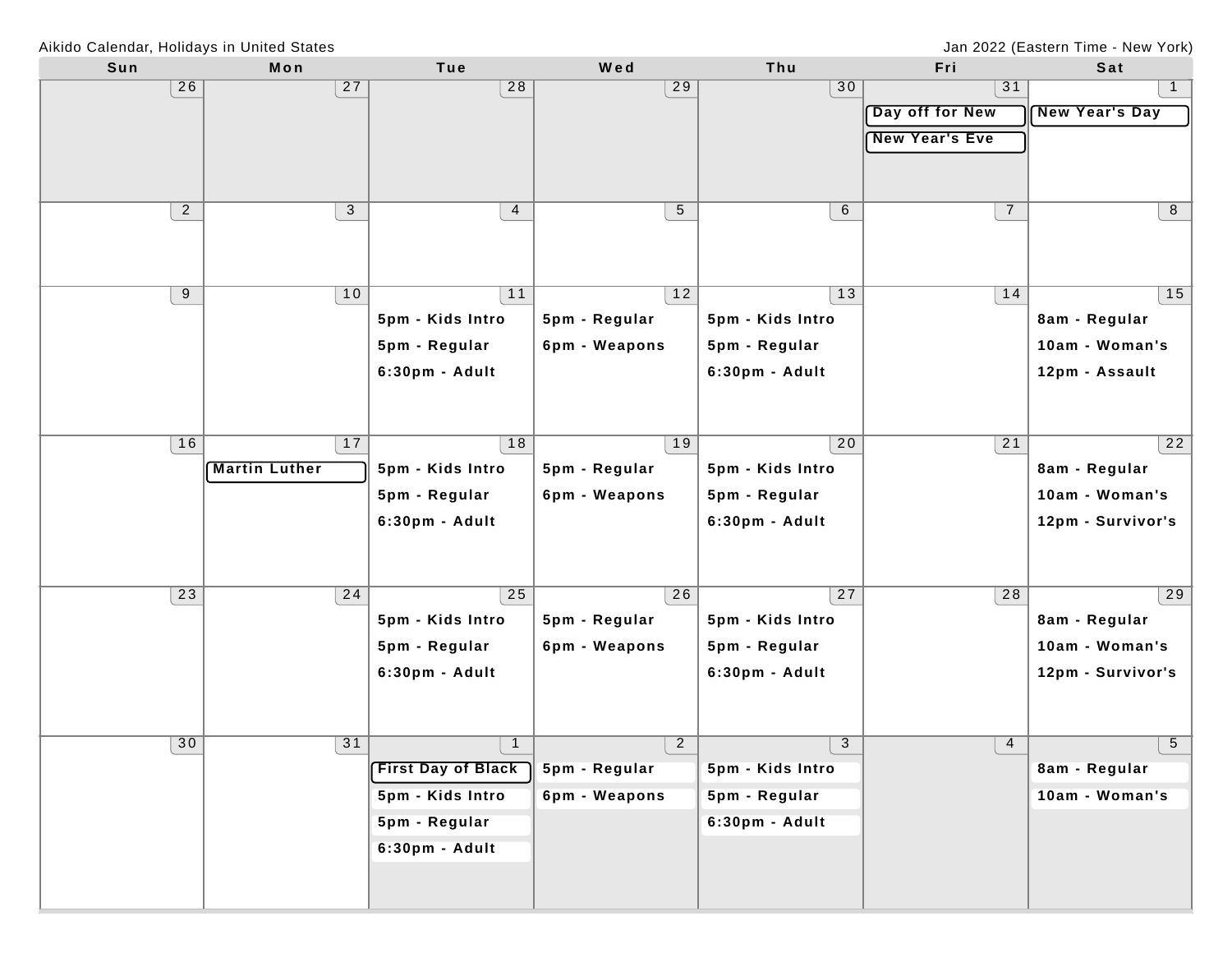Jan 2022 (Eastern Time - New York)

| Sun            | Mon                  | Tue                       | Wed             | Thu              | Fri                   | Sat               |
|----------------|----------------------|---------------------------|-----------------|------------------|-----------------------|-------------------|
| 26             | 27                   | 28                        | 29              | 30               | 31                    | 1                 |
|                |                      |                           |                 |                  | Day off for New       | New Year's Day    |
|                |                      |                           |                 |                  | <b>New Year's Eve</b> |                   |
|                |                      |                           |                 |                  |                       |                   |
|                |                      |                           |                 |                  |                       |                   |
| $\overline{a}$ | $\mathbf{3}$         |                           | $5\phantom{.0}$ | $6\phantom{.}6$  | $\overline{7}$        | 8                 |
|                |                      | $\overline{4}$            |                 |                  |                       |                   |
|                |                      |                           |                 |                  |                       |                   |
|                |                      |                           |                 |                  |                       |                   |
| 9              | 10                   | 11                        | 12              | 13               | 14                    | 15                |
|                |                      | 5pm - Kids Intro          | 5pm - Regular   | 5pm - Kids Intro |                       | 8am - Regular     |
|                |                      | 5pm - Regular             | 6pm - Weapons   | 5pm - Regular    |                       | 10am - Woman's    |
|                |                      | 6:30pm - Adult            |                 | 6:30pm - Adult   |                       | 12pm - Assault    |
|                |                      |                           |                 |                  |                       |                   |
|                |                      |                           |                 |                  |                       |                   |
| 16             | 17                   | 18                        | 19              | $\overline{20}$  | 21                    | $\overline{22}$   |
|                | <b>Martin Luther</b> | 5pm - Kids Intro          | 5pm - Regular   | 5pm - Kids Intro |                       | 8am - Regular     |
|                |                      | 5pm - Regular             | 6pm - Weapons   | 5pm - Regular    |                       | 10am - Woman's    |
|                |                      | 6:30pm - Adult            |                 | 6:30pm - Adult   |                       | 12pm - Survivor's |
|                |                      |                           |                 |                  |                       |                   |
|                |                      |                           |                 |                  |                       |                   |
|                |                      |                           |                 |                  |                       |                   |
| 23             | 24                   | 25                        | 26              | 27               | 28                    | 29                |
|                |                      | 5pm - Kids Intro          | 5pm - Regular   | 5pm - Kids Intro |                       | 8am - Regular     |
|                |                      | 5pm - Regular             | 6pm - Weapons   | 5pm - Regular    |                       | 10am - Woman's    |
|                |                      | 6:30pm - Adult            |                 | 6:30pm - Adult   |                       | 12pm - Survivor's |
|                |                      |                           |                 |                  |                       |                   |
|                |                      |                           |                 |                  |                       |                   |
| 30             | 31                   | $\mathbf{1}$              | $\overline{2}$  | 3                | 4                     | $5\overline{)}$   |
|                |                      | <b>First Day of Black</b> | 5pm - Regular   | 5pm - Kids Intro |                       | 8am - Regular     |
|                |                      | 5pm - Kids Intro          | 6pm - Weapons   | 5pm - Regular    |                       | 10am - Woman's    |
|                |                      | 5pm - Regular             |                 | 6:30pm - Adult   |                       |                   |
|                |                      | 6:30pm - Adult            |                 |                  |                       |                   |
|                |                      |                           |                 |                  |                       |                   |
|                |                      |                           |                 |                  |                       |                   |
|                |                      |                           |                 |                  |                       |                   |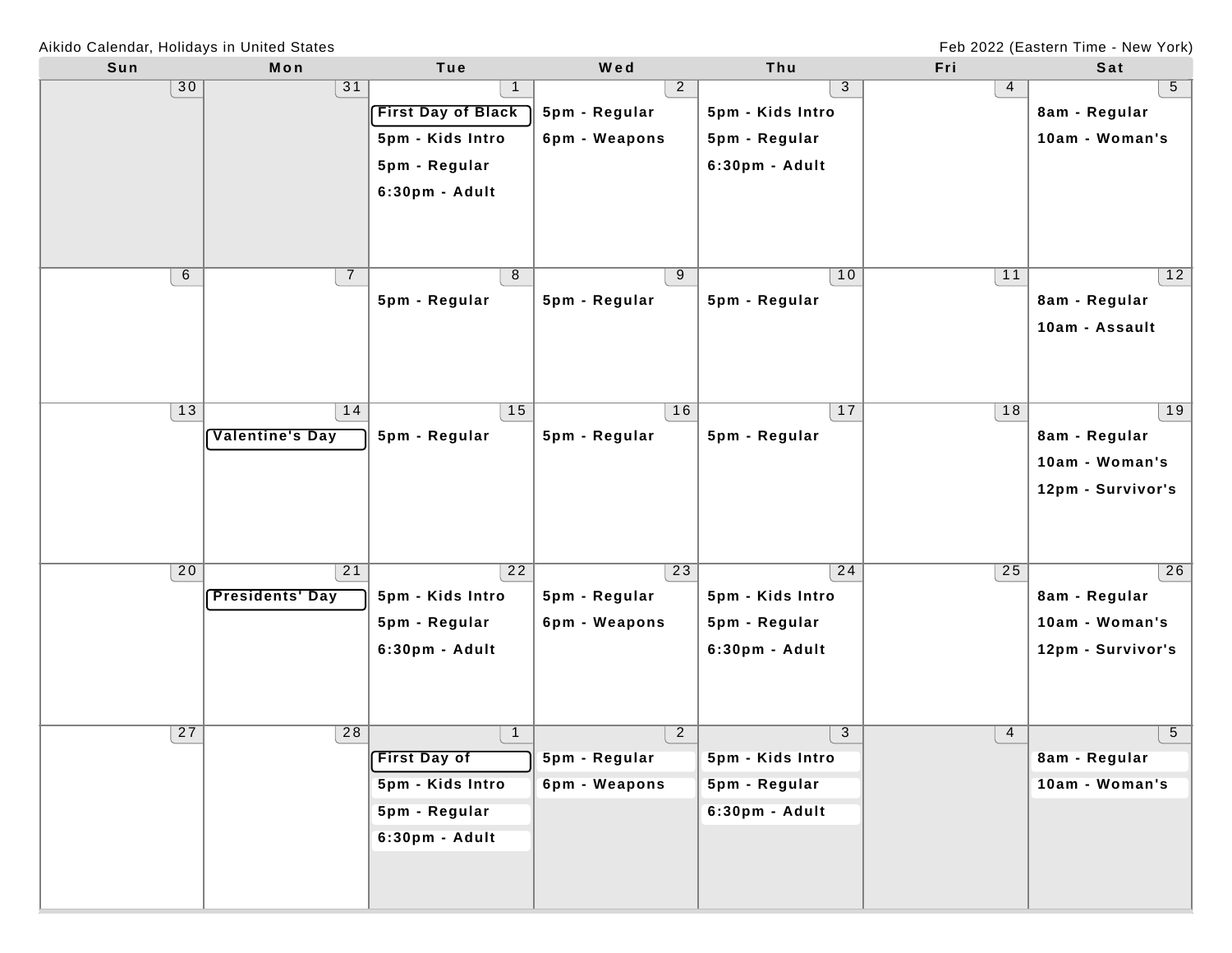Feb 2022 (Eastern Time - New York)

Aikido Calendar, Holidays in United States

| Sun | Mon                    | Tue                       | Wed             | Thu              | Fri | Sat               |
|-----|------------------------|---------------------------|-----------------|------------------|-----|-------------------|
| 30  | 31                     |                           | $\overline{2}$  | 3                | 4   | 5                 |
|     |                        | <b>First Day of Black</b> | 5pm - Regular   | 5pm - Kids Intro |     | 8am - Regular     |
|     |                        | 5pm - Kids Intro          | 6pm - Weapons   | 5pm - Regular    |     | 10am - Woman's    |
|     |                        | 5pm - Regular             |                 | 6:30pm - Adult   |     |                   |
|     |                        | 6:30pm - Adult            |                 |                  |     |                   |
|     |                        |                           |                 |                  |     |                   |
|     |                        |                           |                 |                  |     |                   |
|     |                        |                           |                 |                  |     |                   |
| 6   | $\overline{7}$         | 8                         | 9               | 10               | 11  | 12                |
|     |                        | 5pm - Regular             | 5pm - Regular   | 5pm - Regular    |     | 8am - Regular     |
|     |                        |                           |                 |                  |     | 10am - Assault    |
|     |                        |                           |                 |                  |     |                   |
|     |                        |                           |                 |                  |     |                   |
| 13  | 14                     | 15                        | 16              | 17               | 18  | 19                |
|     | <b>Valentine's Day</b> | 5pm - Regular             | 5pm - Regular   | 5pm - Regular    |     | 8am - Regular     |
|     |                        |                           |                 |                  |     | 10am - Woman's    |
|     |                        |                           |                 |                  |     | 12pm - Survivor's |
|     |                        |                           |                 |                  |     |                   |
|     |                        |                           |                 |                  |     |                   |
|     |                        |                           |                 |                  |     |                   |
| 20  | 21                     | 22                        | $\overline{23}$ | 24               | 25  | 26                |
|     | <b>Presidents' Day</b> | 5pm - Kids Intro          | 5pm - Regular   | 5pm - Kids Intro |     | 8am - Regular     |
|     |                        | 5pm - Regular             | 6pm - Weapons   | 5pm - Regular    |     | 10am - Woman's    |
|     |                        | 6:30pm - Adult            |                 | 6:30pm - Adult   |     | 12pm - Survivor's |
|     |                        |                           |                 |                  |     |                   |
|     |                        |                           |                 |                  |     |                   |
| 27  | 28                     | $\mathbf{1}$              | $\overline{2}$  | 3                | 4   | 5                 |
|     |                        | <b>First Day of</b>       | 5pm - Regular   | 5pm - Kids Intro |     | 8am - Regular     |
|     |                        | 5pm - Kids Intro          | 6pm - Weapons   | 5pm - Regular    |     | 10am - Woman's    |
|     |                        | 5pm - Regular             |                 | 6:30pm - Adult   |     |                   |
|     |                        | 6:30pm - Adult            |                 |                  |     |                   |
|     |                        |                           |                 |                  |     |                   |
|     |                        |                           |                 |                  |     |                   |
|     |                        |                           |                 |                  |     |                   |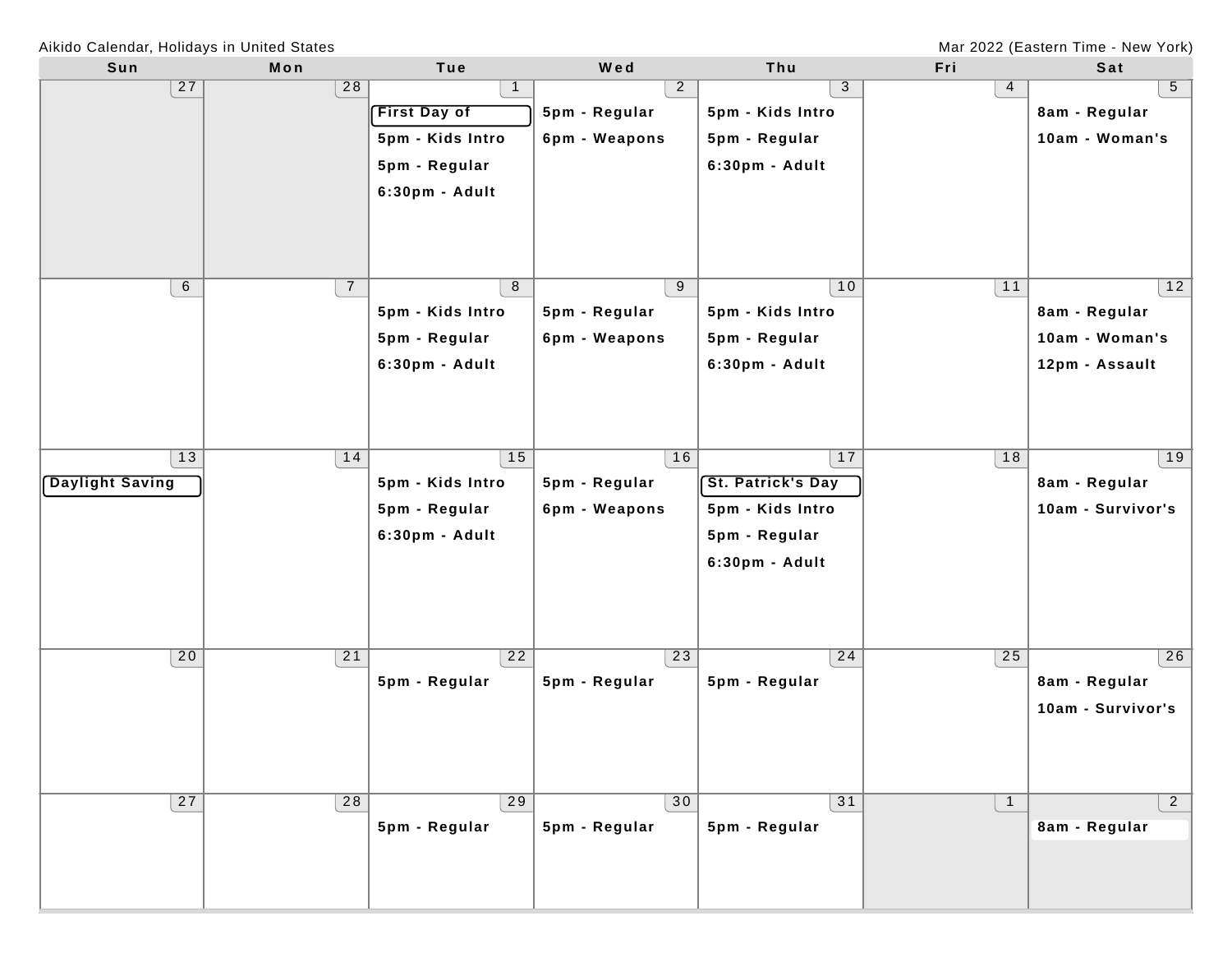Mar 2022 (Eastern Time - New York)

| Sun             | Mon            | Tue                 | Wed            | Thu                      | Fri            | Sat               |
|-----------------|----------------|---------------------|----------------|--------------------------|----------------|-------------------|
| 27              | 28             | $\mathbf{1}$        | $\overline{2}$ | 3                        | 4              | 5 <sub>5</sub>    |
|                 |                | <b>First Day of</b> | 5pm - Regular  | 5pm - Kids Intro         |                | 8am - Regular     |
|                 |                | 5pm - Kids Intro    | 6pm - Weapons  | 5pm - Regular            |                | 10am - Woman's    |
|                 |                | 5pm - Regular       |                | 6:30pm - Adult           |                |                   |
|                 |                | 6:30pm - Adult      |                |                          |                |                   |
|                 |                |                     |                |                          |                |                   |
|                 |                |                     |                |                          |                |                   |
|                 |                |                     |                |                          |                |                   |
| 6               | $\overline{7}$ | 8                   | 9              | 10                       | 11             | 12                |
|                 |                | 5pm - Kids Intro    | 5pm - Regular  | 5pm - Kids Intro         |                | 8am - Regular     |
|                 |                | 5pm - Regular       | 6pm - Weapons  | 5pm - Regular            |                | 10am - Woman's    |
|                 |                | 6:30pm - Adult      |                | 6:30pm - Adult           |                | 12pm - Assault    |
|                 |                |                     |                |                          |                |                   |
|                 |                |                     |                |                          |                |                   |
|                 |                |                     |                |                          |                |                   |
| 13              | 14             | 15                  | 16             | 17                       | 18             | 19                |
| Daylight Saving |                | 5pm - Kids Intro    | 5pm - Regular  | <b>St. Patrick's Day</b> |                | 8am - Regular     |
|                 |                | 5pm - Regular       | 6pm - Weapons  | 5pm - Kids Intro         |                | 10am - Survivor's |
|                 |                | 6:30pm - Adult      |                | 5pm - Regular            |                |                   |
|                 |                |                     |                | 6:30pm - Adult           |                |                   |
|                 |                |                     |                |                          |                |                   |
|                 |                |                     |                |                          |                |                   |
|                 |                |                     |                |                          |                |                   |
| 20              | 21             | 22                  | 23             | 24                       | 25             | 26                |
|                 |                | 5pm - Regular       | 5pm - Regular  | 5pm - Regular            |                | 8am - Regular     |
|                 |                |                     |                |                          |                | 10am - Survivor's |
|                 |                |                     |                |                          |                |                   |
|                 |                |                     |                |                          |                |                   |
|                 |                |                     |                |                          |                |                   |
| 27              | 28             | 29                  | 30             | 31                       | $\overline{1}$ | $\overline{2}$    |
|                 |                | 5pm - Regular       | 5pm - Regular  | 5pm - Regular            |                | 8am - Regular     |
|                 |                |                     |                |                          |                |                   |
|                 |                |                     |                |                          |                |                   |
|                 |                |                     |                |                          |                |                   |